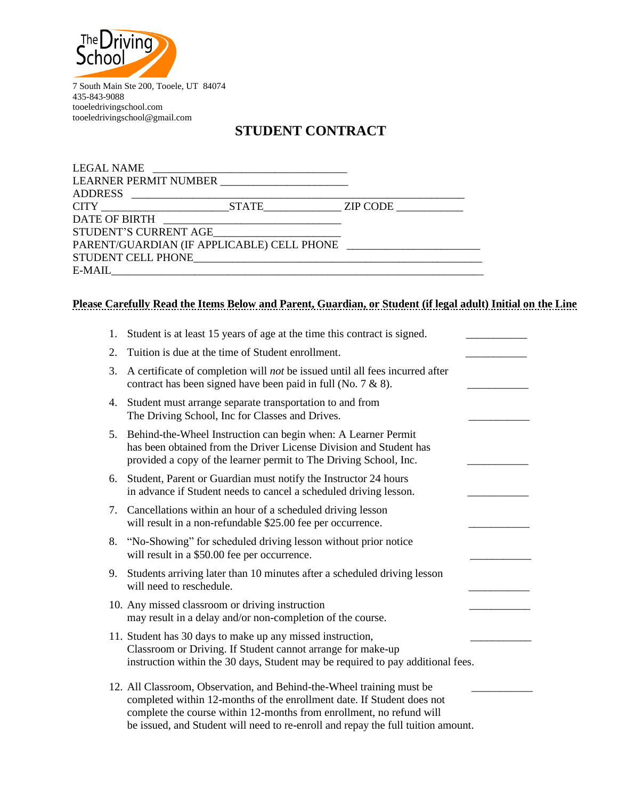

7 South Main Ste 200, Tooele, UT 84074 435-843-9088 tooeledrivingschool.com tooeledrivingschool@gmail.com

# **STUDENT CONTRACT**

| <b>LEGAL NAME</b>                             | <u> 1989 - Johann Stein, september 1989 - Amerikaansk politiker (</u> |  |
|-----------------------------------------------|-----------------------------------------------------------------------|--|
| LEARNER PERMIT NUMBER _______________________ |                                                                       |  |
|                                               |                                                                       |  |
| CITY STATE ZIP CODE                           |                                                                       |  |
|                                               |                                                                       |  |
|                                               |                                                                       |  |
|                                               |                                                                       |  |
|                                               |                                                                       |  |
|                                               |                                                                       |  |

## **Please Carefully Read the Items Below and Parent, Guardian, or Student (if legal adult) Initial on the Line**

| 1. | Student is at least 15 years of age at the time this contract is signed.                                                                                                                                                                                                                                    |  |
|----|-------------------------------------------------------------------------------------------------------------------------------------------------------------------------------------------------------------------------------------------------------------------------------------------------------------|--|
| 2. | Tuition is due at the time of Student enrollment.                                                                                                                                                                                                                                                           |  |
| 3. | A certificate of completion will not be issued until all fees incurred after<br>contract has been signed have been paid in full (No. $7 & 8$ ).                                                                                                                                                             |  |
| 4. | Student must arrange separate transportation to and from<br>The Driving School, Inc for Classes and Drives.                                                                                                                                                                                                 |  |
|    | 5. Behind-the-Wheel Instruction can begin when: A Learner Permit<br>has been obtained from the Driver License Division and Student has<br>provided a copy of the learner permit to The Driving School, Inc.                                                                                                 |  |
| 6. | Student, Parent or Guardian must notify the Instructor 24 hours<br>in advance if Student needs to cancel a scheduled driving lesson.                                                                                                                                                                        |  |
|    | 7. Cancellations within an hour of a scheduled driving lesson<br>will result in a non-refundable \$25.00 fee per occurrence.                                                                                                                                                                                |  |
| 8. | "No-Showing" for scheduled driving lesson without prior notice<br>will result in a \$50.00 fee per occurrence.                                                                                                                                                                                              |  |
| 9. | Students arriving later than 10 minutes after a scheduled driving lesson<br>will need to reschedule.                                                                                                                                                                                                        |  |
|    | 10. Any missed classroom or driving instruction<br>may result in a delay and/or non-completion of the course.                                                                                                                                                                                               |  |
|    | 11. Student has 30 days to make up any missed instruction,<br>Classroom or Driving. If Student cannot arrange for make-up<br>instruction within the 30 days, Student may be required to pay additional fees.                                                                                                |  |
|    | 12. All Classroom, Observation, and Behind-the-Wheel training must be<br>completed within 12-months of the enrollment date. If Student does not<br>complete the course within 12-months from enrollment, no refund will<br>be issued, and Student will need to re-enroll and repay the full tuition amount. |  |